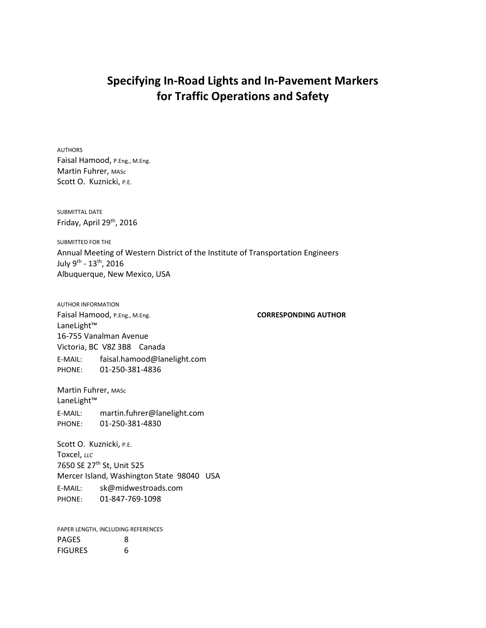# **Specifying In-Road Lights and In-Pavement Markers for Traffic Operations and Safety**

AUTHORS Faisal Hamood, P.Eng., M.Eng. Martin Fuhrer, MASc Scott O. Kuznicki, P.E.

SUBMITTAL DATE Friday, April 29th, 2016

SUBMITTED FOR THE Annual Meeting of Western District of the Institute of Transportation Engineers July 9<sup>th</sup> - 13<sup>th</sup>, 2016 Albuquerque, New Mexico, USA

AUTHOR INFORMATION Faisal Hamood, P.Eng., M.Eng. **CORRESPONDING AUTHOR** LaneLight™ 16-755 Vanalman Avenue Victoria, BC V8Z 3B8 Canada E-MAIL: faisal.hamood@lanelight.com PHONE: 01-250-381-4836

Martin Fuhrer, MASc LaneLight™ E-MAIL: martin.fuhrer@lanelight.com PHONE: 01-250-381-4830

Scott O. Kuznicki, P.E. Toxcel, *LLC* 7650 SE 27th St, Unit 525 Mercer Island, Washington State 98040 USA E-MAIL: sk@midwestroads.com PHONE: 01-847-769-1098

PAPER LENGTH, INCLUDING REFERENCES PAGES 8 FIGURES 6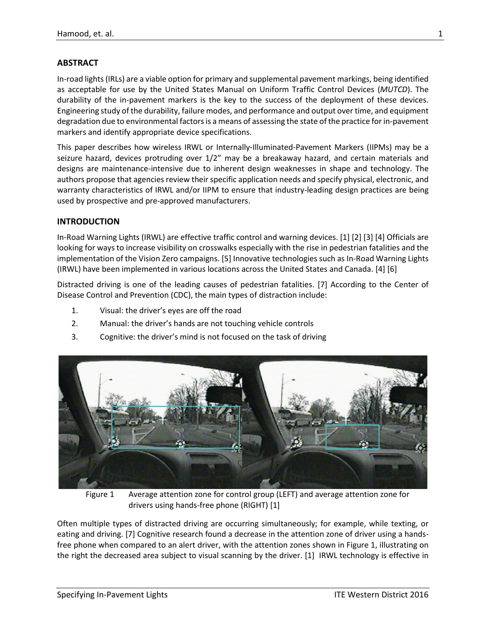# **ABSTRACT**

In-road lights (IRLs) are a viable option for primary and supplemental pavement markings, being identified as acceptable for use by the United States Manual on Uniform Traffic Control Devices (*MUTCD*). The durability of the in-pavement markers is the key to the success of the deployment of these devices. Engineering study of the durability, failure modes, and performance and output over time, and equipment degradation due to environmental factors is a means of assessing the state of the practice for in-pavement markers and identify appropriate device specifications.

This paper describes how wireless IRWL or Internally-Illuminated-Pavement Markers (IIPMs) may be a seizure hazard, devices protruding over 1/2" may be a breakaway hazard, and certain materials and designs are maintenance-intensive due to inherent design weaknesses in shape and technology. The authors propose that agencies review their specific application needs and specify physical, electronic, and warranty characteristics of IRWL and/or IIPM to ensure that industry-leading design practices are being used by prospective and pre-approved manufacturers.

#### **INTRODUCTION**

In-Road Warning Lights (IRWL) are effective traffic control and warning devices. [1] [2] [3] [4] Officials are looking for ways to increase visibility on crosswalks especially with the rise in pedestrian fatalities and the implementation of the Vision Zero campaigns. [5] Innovative technologies such as In-Road Warning Lights (IRWL) have been implemented in various locations across the United States and Canada. [4] [6]

Distracted driving is one of the leading causes of pedestrian fatalities. [7] According to the Center of Disease Control and Prevention (CDC), the main types of distraction include:

- 1. Visual: the driver's eyes are off the road
- 2. Manual: the driver's hands are not touching vehicle controls
- 3. Cognitive: the driver's mind is not focused on the task of driving



Figure 1 Average attention zone for control group (LEFT) and average attention zone for drivers using hands-free phone (RIGHT) [1]

<span id="page-1-0"></span>Often multiple types of distracted driving are occurring simultaneously; for example, while texting, or eating and driving. [7] Cognitive research found a decrease in the attention zone of driver using a handsfree phone when compared to an alert driver, with the attention zones shown i[n Figure 1,](#page-1-0) illustrating on the right the decreased area subject to visual scanning by the driver. [1] IRWL technology is effective in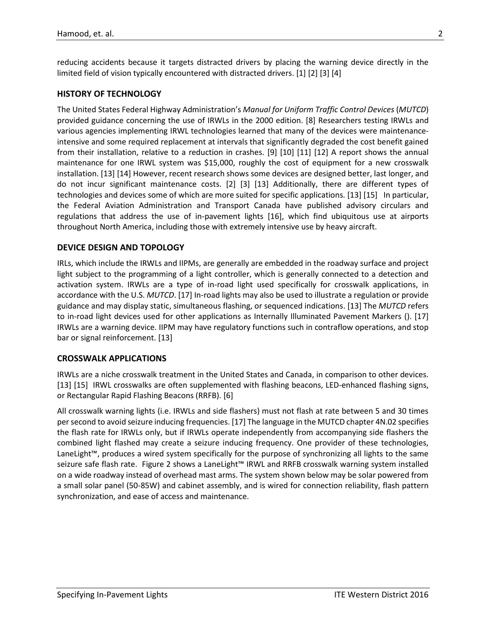reducing accidents because it targets distracted drivers by placing the warning device directly in the limited field of vision typically encountered with distracted drivers. [1] [2] [3] [4]

#### **HISTORY OF TECHNOLOGY**

The United States Federal Highway Administration's *Manual for Uniform Traffic Control Devices* (*MUTCD*) provided guidance concerning the use of IRWLs in the 2000 edition. [8] Researchers testing IRWLs and various agencies implementing IRWL technologies learned that many of the devices were maintenanceintensive and some required replacement at intervals that significantly degraded the cost benefit gained from their installation, relative to a reduction in crashes. [9] [10] [11] [12] A report shows the annual maintenance for one IRWL system was \$15,000, roughly the cost of equipment for a new crosswalk installation. [13] [14] However, recent research shows some devices are designed better, last longer, and do not incur significant maintenance costs. [2] [3] [13] Additionally, there are different types of technologies and devices some of which are more suited for specific applications. [13] [15] In particular, the Federal Aviation Administration and Transport Canada have published advisory circulars and regulations that address the use of in-pavement lights [16], which find ubiquitous use at airports throughout North America, including those with extremely intensive use by heavy aircraft.

#### **DEVICE DESIGN AND TOPOLOGY**

IRLs, which include the IRWLs and IIPMs, are generally are embedded in the roadway surface and project light subject to the programming of a light controller, which is generally connected to a detection and activation system. IRWLs are a type of in-road light used specifically for crosswalk applications, in accordance with the U.S. *MUTCD*. [17] In-road lights may also be used to illustrate a regulation or provide guidance and may display static, simultaneous flashing, or sequenced indications. [13] The *MUTCD* refers to in-road light devices used for other applications as Internally Illuminated Pavement Markers (). [17] IRWLs are a warning device. IIPM may have regulatory functions such in contraflow operations, and stop bar or signal reinforcement. [13]

#### **CROSSWALK APPLICATIONS**

IRWLs are a niche crosswalk treatment in the United States and Canada, in comparison to other devices. [13] [15] IRWL crosswalks are often supplemented with flashing beacons, LED-enhanced flashing signs, or Rectangular Rapid Flashing Beacons (RRFB). [6]

All crosswalk warning lights (i.e. IRWLs and side flashers) must not flash at rate between 5 and 30 times per second to avoid seizure inducing frequencies. [17] The language in the MUTCD chapter 4N.02 specifies the flash rate for IRWLs only, but if IRWLs operate independently from accompanying side flashers the combined light flashed may create a seizure inducing frequency. One provider of these technologies, LaneLight™, produces a wired system specifically for the purpose of synchronizing all lights to the same seizure safe flash rate. [Figure 2](#page-3-0) shows a LaneLight™ IRWL and RRFB crosswalk warning system installed on a wide roadway instead of overhead mast arms. The system shown below may be solar powered from a small solar panel (50-85W) and cabinet assembly, and is wired for connection reliability, flash pattern synchronization, and ease of access and maintenance.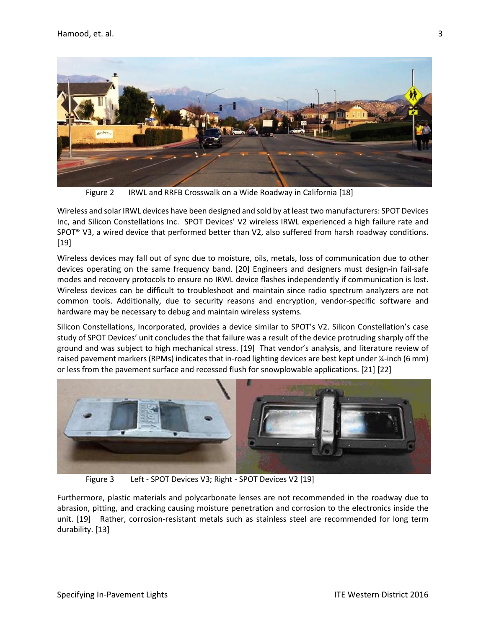

Figure 2 IRWL and RRFB Crosswalk on a Wide Roadway in California [18]

<span id="page-3-0"></span>Wireless and solar IRWL devices have been designed and sold by at least two manufacturers: SPOT Devices Inc, and Silicon Constellations Inc. SPOT Devices' V2 wireless IRWL experienced a high failure rate and SPOT® V3, a wired device that performed better than V2, also suffered from harsh roadway conditions. [19]

Wireless devices may fall out of sync due to moisture, oils, metals, loss of communication due to other devices operating on the same frequency band. [20] Engineers and designers must design-in fail-safe modes and recovery protocols to ensure no IRWL device flashes independently if communication is lost. Wireless devices can be difficult to troubleshoot and maintain since radio spectrum analyzers are not common tools. Additionally, due to security reasons and encryption, vendor-specific software and hardware may be necessary to debug and maintain wireless systems.

Silicon Constellations, Incorporated, provides a device similar to SPOT's V2. Silicon Constellation's case study of SPOT Devices' unit concludes the that failure was a result of the device protruding sharply off the ground and was subject to high mechanical stress. [19] That vendor's analysis, and literature review of raised pavement markers (RPMs) indicates that in-road lighting devices are best kept under ¼-inch (6 mm) or less from the pavement surface and recessed flush for snowplowable applications. [21] [22]



Figure 3 Left - SPOT Devices V3; Right - SPOT Devices V2 [19]

Furthermore, plastic materials and polycarbonate lenses are not recommended in the roadway due to abrasion, pitting, and cracking causing moisture penetration and corrosion to the electronics inside the unit. [19] Rather, corrosion-resistant metals such as stainless steel are recommended for long term durability. [13]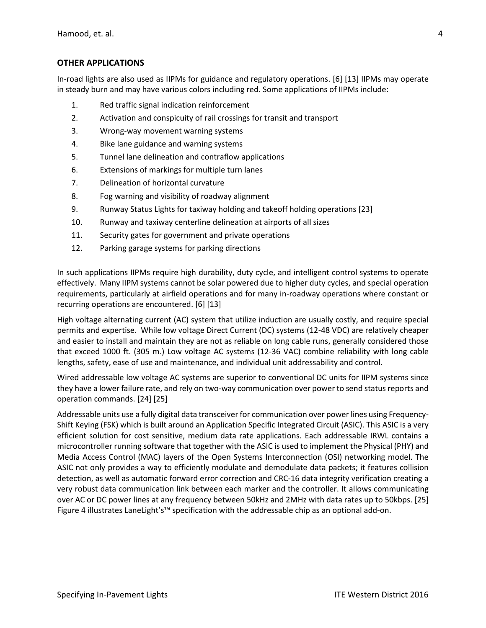## **OTHER APPLICATIONS**

In-road lights are also used as IIPMs for guidance and regulatory operations. [6] [13] IIPMs may operate in steady burn and may have various colors including red. Some applications of IIPMs include:

- 1. Red traffic signal indication reinforcement
- 2. Activation and conspicuity of rail crossings for transit and transport
- 3. Wrong-way movement warning systems
- 4. Bike lane guidance and warning systems
- 5. Tunnel lane delineation and contraflow applications
- 6. Extensions of markings for multiple turn lanes
- 7. Delineation of horizontal curvature
- 8. Fog warning and visibility of roadway alignment
- 9. Runway Status Lights for taxiway holding and takeoff holding operations [23]
- 10. Runway and taxiway centerline delineation at airports of all sizes
- 11. Security gates for government and private operations
- 12. Parking garage systems for parking directions

In such applications IIPMs require high durability, duty cycle, and intelligent control systems to operate effectively. Many IIPM systems cannot be solar powered due to higher duty cycles, and special operation requirements, particularly at airfield operations and for many in-roadway operations where constant or recurring operations are encountered. [6] [13]

High voltage alternating current (AC) system that utilize induction are usually costly, and require special permits and expertise. While low voltage Direct Current (DC) systems (12-48 VDC) are relatively cheaper and easier to install and maintain they are not as reliable on long cable runs, generally considered those that exceed 1000 ft. (305 m.) Low voltage AC systems (12-36 VAC) combine reliability with long cable lengths, safety, ease of use and maintenance, and individual unit addressability and control.

Wired addressable low voltage AC systems are superior to conventional DC units for IIPM systems since they have a lower failure rate, and rely on two-way communication over power to send status reports and operation commands. [24] [25]

Addressable units use a fully digital data transceiver for communication over power lines using Frequency-Shift Keying (FSK) which is built around an Application Specific Integrated Circuit (ASIC). This ASIC is a very efficient solution for cost sensitive, medium data rate applications. Each addressable IRWL contains a microcontroller running software that together with the ASIC is used to implement the Physical (PHY) and Media Access Control (MAC) layers of the Open Systems Interconnection (OSI) networking model. The ASIC not only provides a way to efficiently modulate and demodulate data packets; it features collision detection, as well as automatic forward error correction and CRC-16 data integrity verification creating a very robust data communication link between each marker and the controller. It allows communicating over AC or DC power lines at any frequency between 50kHz and 2MHz with data rates up to 50kbps. [25] [Figure 4](#page-5-0) illustrates LaneLight's™ specification with the addressable chip as an optional add-on.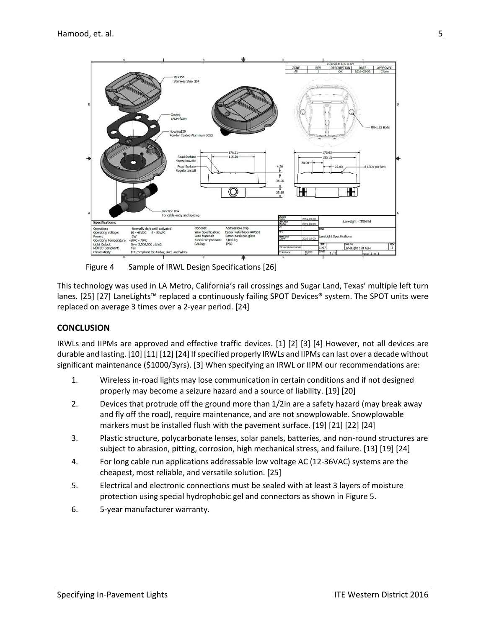

Figure 4 Sample of IRWL Design Specifications [26]

<span id="page-5-0"></span>This technology was used in LA Metro, California's rail crossings and Sugar Land, Texas' multiple left turn lanes. [25] [27] LaneLights™ replaced a continuously failing SPOT Devices® system. The SPOT units were replaced on average 3 times over a 2-year period. [24]

#### **CONCLUSION**

IRWLs and IIPMs are approved and effective traffic devices. [1] [2] [3] [4] However, not all devices are durable and lasting. [10] [11] [12] [24] If specified properly IRWLs and IIPMs can last over a decade without significant maintenance (\$1000/3yrs). [3] When specifying an IRWL or IIPM our recommendations are:

- 1. Wireless in-road lights may lose communication in certain conditions and if not designed properly may become a seizure hazard and a source of liability. [19] [20]
- 2. Devices that protrude off the ground more than 1/2in are a safety hazard (may break away and fly off the road), require maintenance, and are not snowplowable. Snowplowable markers must be installed flush with the pavement surface. [19] [21] [22] [24]
- 3. Plastic structure, polycarbonate lenses, solar panels, batteries, and non-round structures are subject to abrasion, pitting, corrosion, high mechanical stress, and failure. [13] [19] [24]
- 4. For long cable run applications addressable low voltage AC (12-36VAC) systems are the cheapest, most reliable, and versatile solution. [25]
- 5. Electrical and electronic connections must be sealed with at least 3 layers of moisture protection using special hydrophobic gel and connectors as shown i[n Figure 5.](#page-6-0)
- 6. 5-year manufacturer warranty.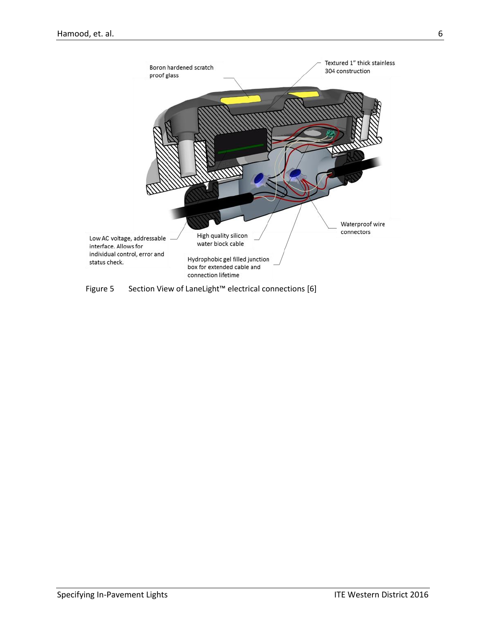

<span id="page-6-0"></span>Figure 5 Section View of LaneLight™ electrical connections [6]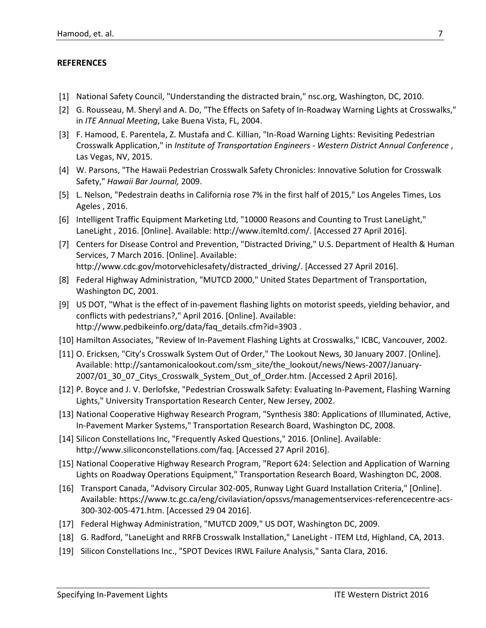## **REFERENCES**

- [1] National Safety Council, "Understanding the distracted brain," nsc.org, Washington, DC, 2010.
- [2] G. Rousseau, M. Sheryl and A. Do, "The Effects on Safety of In-Roadway Warning Lights at Crosswalks," in *ITE Annual Meeting*, Lake Buena Vista, FL, 2004.
- [3] F. Hamood, E. Parentela, Z. Mustafa and C. Killian, "In-Road Warning Lights: Revisiting Pedestrian Crosswalk Application," in *Institute of Transportation Engineers - Western District Annual Conference* , Las Vegas, NV, 2015.
- [4] W. Parsons, "The Hawaii Pedestrian Crosswalk Safety Chronicles: Innovative Solution for Crosswalk Safety," *Hawaii Bar Journal,* 2009.
- [5] L. Nelson, "Pedestrain deaths in California rose 7% in the first half of 2015," Los Angeles Times, Los Ageles , 2016.
- [6] Intelligent Traffic Equipment Marketing Ltd, "10000 Reasons and Counting to Trust LaneLight," LaneLight , 2016. [Online]. Available: http://www.itemltd.com/. [Accessed 27 April 2016].
- [7] Centers for Disease Control and Prevention, "Distracted Driving," U.S. Department of Health & Human Services, 7 March 2016. [Online]. Available: http://www.cdc.gov/motorvehiclesafety/distracted\_driving/. [Accessed 27 April 2016].
- [8] Federal Highway Administration, "MUTCD 2000," United States Department of Transportation, Washington DC, 2001.
- [9] US DOT, "What is the effect of in-pavement flashing lights on motorist speeds, yielding behavior, and conflicts with pedestrians?," April 2016. [Online]. Available: http://www.pedbikeinfo.org/data/faq\_details.cfm?id=3903.
- [10] Hamilton Associates, "Review of In-Pavement Flashing Lights at Crosswalks," ICBC, Vancouver, 2002.
- [11] O. Ericksen, "City's Crosswalk System Out of Order," The Lookout News, 30 January 2007. [Online]. Available: http://santamonicalookout.com/ssm\_site/the\_lookout/news/News-2007/January-2007/01\_30\_07\_Citys\_Crosswalk\_System\_Out\_of\_Order.htm. [Accessed 2 April 2016].
- [12] P. Boyce and J. V. Derlofske, "Pedestrian Crosswalk Safety: Evaluating In-Pavement, Flashing Warning Lights," University Transportation Research Center, New Jersey, 2002.
- [13] National Cooperative Highway Research Program, "Synthesis 380: Applications of Illuminated, Active, In-Pavement Marker Systems," Transportation Research Board, Washington DC, 2008.
- [14] Silicon Constellations Inc, "Frequently Asked Questions," 2016. [Online]. Available: http://www.siliconconstellations.com/faq. [Accessed 27 April 2016].
- [15] National Cooperative Highway Research Program, "Report 624: Selection and Application of Warning Lights on Roadway Operations Equipment," Transportation Research Board, Washington DC, 2008.
- [16] Transport Canada, "Advisory Circular 302-005, Runway Light Guard Installation Criteria," [Online]. Available: https://www.tc.gc.ca/eng/civilaviation/opssvs/managementservices-referencecentre-acs-300-302-005-471.htm. [Accessed 29 04 2016].
- [17] Federal Highway Administration, "MUTCD 2009," US DOT, Washington DC, 2009.
- [18] G. Radford, "LaneLight and RRFB Crosswalk Installation," LaneLight ITEM Ltd, Highland, CA, 2013.
- [19] Silicon Constellations Inc., "SPOT Devices IRWL Failure Analysis," Santa Clara, 2016.